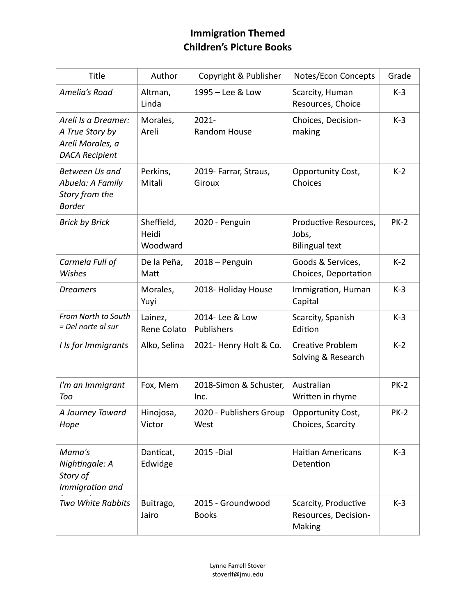## **Immigration Themed Children's Picture Books**

| Title                                                                               | Author                          | Copyright & Publisher             | Notes/Econ Concepts                                     | Grade       |
|-------------------------------------------------------------------------------------|---------------------------------|-----------------------------------|---------------------------------------------------------|-------------|
| Amelia's Road                                                                       | Altman,<br>Linda                | 1995 - Lee & Low                  | Scarcity, Human<br>Resources, Choice                    | $K-3$       |
| Areli Is a Dreamer:<br>A True Story by<br>Areli Morales, a<br><b>DACA Recipient</b> | Morales,<br>Areli               | $2021 -$<br>Random House          | Choices, Decision-<br>making                            | $K-3$       |
| Between Us and<br>Abuela: A Family<br>Story from the<br><b>Border</b>               | Perkins,<br>Mitali              | 2019- Farrar, Straus,<br>Giroux   | Opportunity Cost,<br>Choices                            | $K-2$       |
| <b>Brick by Brick</b>                                                               | Sheffield,<br>Heidi<br>Woodward | 2020 - Penguin                    | Productive Resources,<br>Jobs,<br><b>Bilingual text</b> | <b>PK-2</b> |
| Carmela Full of<br>Wishes                                                           | De la Peña,<br>Matt             | 2018 - Penguin                    | Goods & Services,<br>Choices, Deportation               | $K-2$       |
| <b>Dreamers</b>                                                                     | Morales,<br>Yuyi                | 2018- Holiday House               | Immigration, Human<br>Capital                           | $K-3$       |
| From North to South<br>= Del norte al sur                                           | Lainez,<br>Rene Colato          | 2014- Lee & Low<br>Publishers     | Scarcity, Spanish<br>Edition                            | $K-3$       |
| I Is for Immigrants                                                                 | Alko, Selina                    | 2021- Henry Holt & Co.            | <b>Creative Problem</b><br>Solving & Research           | $K-2$       |
| I'm an Immigrant<br>Too                                                             | Fox, Mem                        | 2018-Simon & Schuster,<br>Inc.    | Australian<br>Written in rhyme                          | <b>PK-2</b> |
| A Journey Toward<br>Hope                                                            | Hinojosa,<br>Victor             | 2020 - Publishers Group<br>West   | Opportunity Cost,<br>Choices, Scarcity                  | <b>PK-2</b> |
| Mama's<br>Nightingale: A<br>Story of<br>Immigration and                             | Danticat,<br>Edwidge            | 2015 - Dial                       | <b>Haitian Americans</b><br>Detention                   | $K-3$       |
| Two White Rabbits                                                                   | Buitrago,<br>Jairo              | 2015 - Groundwood<br><b>Books</b> | Scarcity, Productive<br>Resources, Decision-<br>Making  | $K-3$       |